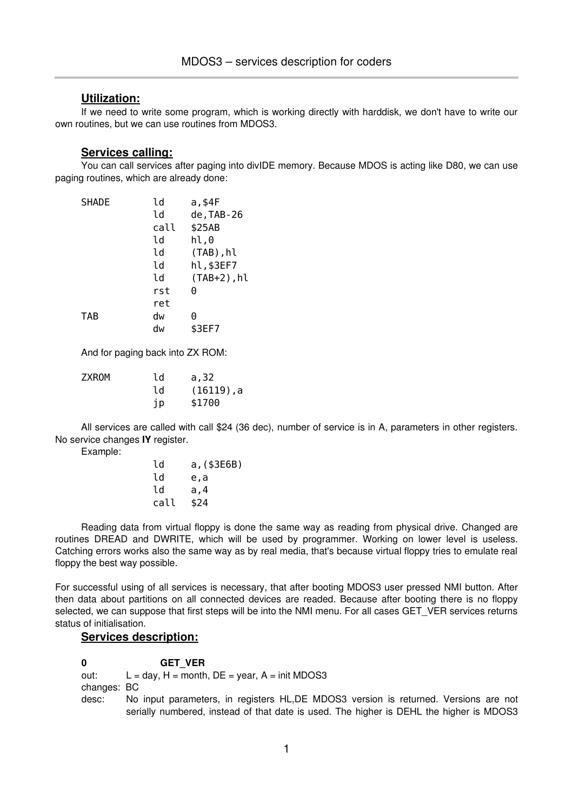## **Utilization:**

If we need to write some program, which is working directly with harddisk, we don't have to write our own routines, but we can use routines from MDOS3.

#### **Services calling:**

You can call services after paging into divIDE memory. Because MDOS is acting like D80, we can use paging routines, which are already done:

| <b>SHADE</b> | ld   | a,\$4F         |
|--------------|------|----------------|
|              | ld   | de, TAB-26     |
|              | call | \$25AB         |
|              | ld   | hl,0           |
|              | ld   | $(TAB)$ , hl   |
|              | ld   | hl,\$3EF7      |
|              | ld   | $(TAB+2)$ , hl |
|              | rst  | 0              |
|              | ret  |                |
| <b>TAB</b>   | dw   | 0              |
|              | dw   | \$3EF7         |

And for paging back into ZX ROM:

| ZXROM | ld  | a, 32         |
|-------|-----|---------------|
|       | 1 d | $(16119)$ , a |
|       | jp  | \$1700        |

All services are called with call \$24 (36 dec), number of service is in A, parameters in other registers. No service changes **IY** register.

Example:

| ld   | a, (\$3E6B) |
|------|-------------|
| 1d   | e,a         |
| 1d   | a,4         |
| call | \$24        |

Reading data from virtual floppy is done the same way as reading from physical drive. Changed are routines DREAD and DWRITE, which will be used by programmer. Working on lower level is useless. Catching errors works also the same way as by real media, that's because virtual floppy tries to emulate real floppy the best way possible.

For successful using of all services is necessary, that after booting MDOS3 user pressed NMI button. After then data about partitions on all connected devices are readed. Because after booting there is no floppy selected, we can suppose that first steps will be into the NMI menu. For all cases GET VER services returns status of initialisation.

# **Services description:**

**0 GET\_VER** out:  $L = day$ ,  $H = month$ ,  $DE = year$ ,  $A = init MDOS3$ changes: BC desc: No input parameters, in registers HL,DE MDOS3 version is returned. Versions are not serially numbered, instead of that date is used. The higher is DEHL the higher is MDOS3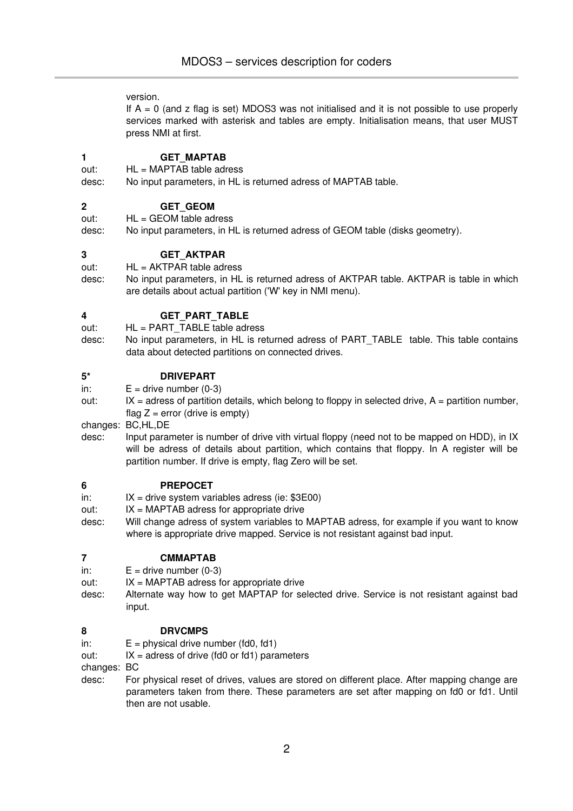version.

If  $A = 0$  (and z flag is set) MDOS3 was not initialised and it is not possible to use properly services marked with asterisk and tables are empty. Initialisation means, that user MUST press NMI at first.

#### **1 GET\_MAPTAB**

out: HL = MAPTAB table adress

desc: No input parameters, in HL is returned adress of MAPTAB table.

#### **2 GET\_GEOM**

 $out:$   $HL = GEOM$  table adress

desc: No input parameters, in HL is returned adress of GEOM table (disks geometry).

#### **3 GET\_AKTPAR**

out: HL = AKTPAR table adress

desc: No input parameters, in HL is returned adress of AKTPAR table. AKTPAR is table in which are details about actual partition ('W' key in NMI menu).

## **4 GET\_PART\_TABLE**

- out: HL = PART\_TABLE table adress
- desc: No input parameters, in HL is returned adress of PART\_TABLE table. This table contains data about detected partitions on connected drives.

#### **5\* DRIVEPART**

in:  $E =$  drive number  $(0-3)$ 

out:  $IX =$  adress of partition details, which belong to floppy in selected drive,  $A =$  partition number, flag  $Z =$  error (drive is empty)

changes: BC,HL,DE

desc: Input parameter is number of drive vith virtual floppy (need not to be mapped on HDD), in IX will be adress of details about partition, which contains that floppy. In A register will be partition number. If drive is empty, flag Zero will be set.

#### **6 PREPOCET**

- in:  $IX =$  drive system variables adress (ie:  $$3E00$ )
- out: IX = MAPTAB adress for appropriate drive
- desc: Will change adress of system variables to MAPTAB adress, for example if you want to know where is appropriate drive mapped. Service is not resistant against bad input.

#### **7 CMMAPTAB**

- in:  $E =$  drive number  $(0-3)$
- out:  $IX = MAPTAB$  adress for appropriate drive
- desc: Alternate way how to get MAPTAP for selected drive. Service is not resistant against bad input.

#### **8 DRVCMPS**

- in:  $E =$  physical drive number (fd0, fd1)
- out:  $IX = \text{adress of drive (fd0 or fd1) parameters}$

changes: BC

desc: For physical reset of drives, values are stored on different place. After mapping change are parameters taken from there. These parameters are set after mapping on fd0 or fd1. Until then are not usable.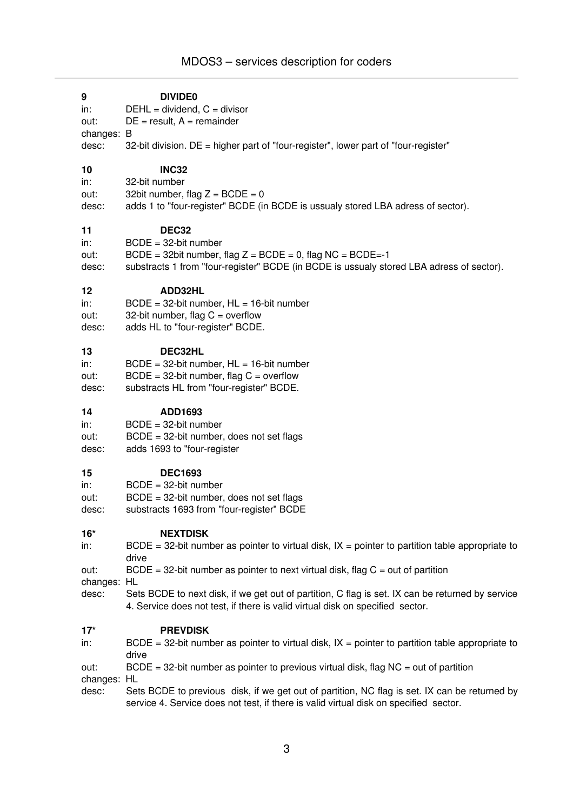# **9 DIVIDE0** in: DEHL = dividend, C = divisor out:  $DE = result$ ,  $A = remainder$ changes: B desc:  $32$ -bit division. DE = higher part of "four-register", lower part of "four-register" **10 INC32** in: 32-bit number out:  $32$ bit number, flag  $Z = BCDE = 0$ desc: adds 1 to "fourregister" BCDE (in BCDE is ussualy stored LBA adress of sector). **11 DEC32**  $in:$  BCDE = 32-bit number out:  $BCDE = 32bit number$ , flag  $Z = BCDE = 0$ , flag  $NC = BCDE = -1$ desc: substracts 1 from "four-register" BCDE (in BCDE is ussualy stored LBA adress of sector). **12 ADD32HL** in:  $BCDE = 32-bit number$ ,  $HL = 16-bit number$ out:  $32$ -bit number, flag C = overflow desc: adds HL to "four-register" BCDE. **13 DEC32HL** in:  $BCDE = 32-bit number$ ,  $HL = 16-bit number$ out:  $BCDE = 32$ -bit number, flag  $C =$  overflow desc: substracts HL from "four-register" BCDE. **14 ADD1693**  $in:$  BCDE = 32-bit number out:  $BCDE = 32$ -bit number, does not set flags desc: adds 1693 to "four-register **15 DEC1693**

 $in:$  BCDE = 32-bit number

out:  $BCDE = 32$ -bit number, does not set flags

desc: substracts 1693 from "four-register" BCDE

#### **16\* NEXTDISK**

in: BCDE = 32-bit number as pointer to virtual disk,  $IX =$  pointer to partition table appropriate to drive

out: BCDE = 32-bit number as pointer to next virtual disk, flag  $C = out$  of partition

changes: HL

desc: Sets BCDE to next disk, if we get out of partition, C flag is set. IX can be returned by service 4. Service does not test, if there is valid virtual disk on specified sector.

#### **17\* PREVDISK**

in: BCDE = 32-bit number as pointer to virtual disk,  $IX =$  pointer to partition table appropriate to drive

| out:                    | $BCDE = 32$ -bit number as pointer to previous virtual disk, flag $NC = out$ of partition |  |  |  |
|-------------------------|-------------------------------------------------------------------------------------------|--|--|--|
| اللليم ويمسموا والمراجع |                                                                                           |  |  |  |

changes: HL

desc: Sets BCDE to previous disk, if we get out of partition, NC flag is set. IX can be returned by service 4. Service does not test, if there is valid virtual disk on specified sector.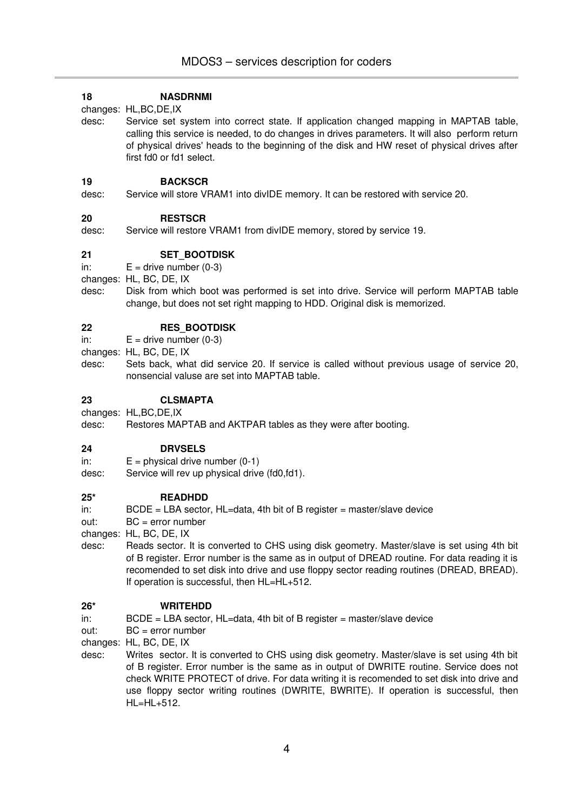#### **18 NASDRNMI**

changes: HL,BC,DE,IX

desc: Service set system into correct state. If application changed mapping in MAPTAB table, calling this service is needed, to do changes in drives parameters. It will also perform return of physical drives' heads to the beginning of the disk and HW reset of physical drives after first fd0 or fd1 select.

#### **19 BACKSCR**

desc: Service will store VRAM1 into divIDE memory. It can be restored with service 20.

## **20 RESTSCR**

desc: Service will restore VRAM1 from divIDE memory, stored by service 19.

# **21 SET\_BOOTDISK**

in:  $E =$  drive number  $(0-3)$ 

changes: HL, BC, DE, IX

desc: Disk from which boot was performed is set into drive. Service will perform MAPTAB table change, but does not set right mapping to HDD. Original disk is memorized.

## **22 RES\_BOOTDISK**

in:  $E =$  drive number  $(0-3)$ 

changes: HL, BC, DE, IX

desc: Sets back, what did service 20. If service is called without previous usage of service 20, nonsencial valuse are set into MAPTAB table.

## **23 CLSMAPTA**

changes: HL,BC,DE,IX

desc: Restores MAPTAB and AKTPAR tables as they were after booting.

#### **24 DRVSELS**

- in:  $E =$  physical drive number  $(0-1)$
- desc: Service will rev up physical drive (fd0,fd1).

#### **25\* READHDD**

in: BCDE = LBA sector, HL=data, 4th bit of B register = master/slave device

out: BC = error number

changes: HL, BC, DE, IX

desc: Reads sector. It is converted to CHS using disk geometry. Master/slave is set using 4th bit of B register. Error number is the same as in output of DREAD routine. For data reading it is recomended to set disk into drive and use floppy sector reading routines (DREAD, BREAD). If operation is successful, then HL=HL+512.

#### **26\* WRITEHDD**

- $i$  in: BCDE = LBA sector, HL=data, 4th bit of B register = master/slave device
- out: BC = error number
- changes: HL, BC, DE, IX
- desc: Writes sector. It is converted to CHS using disk geometry. Master/slave is set using 4th bit of B register. Error number is the same as in output of DWRITE routine. Service does not check WRITE PROTECT of drive. For data writing it is recomended to set disk into drive and use floppy sector writing routines (DWRITE, BWRITE). If operation is successful, then HL=HL+512.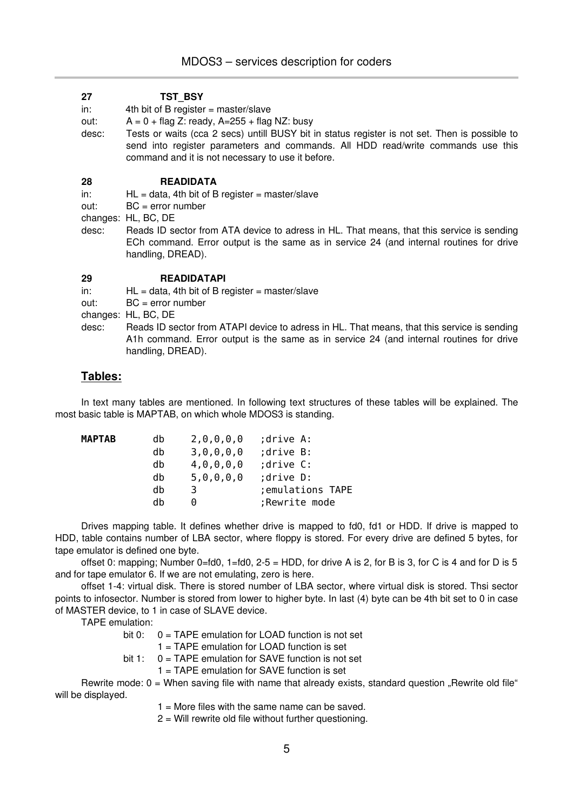#### **27 TST\_BSY**

 $in:$  4th bit of B register = master/slave

- out:  $A = 0 + flag Z: ready, A = 255 + flag NZ: busy$
- desc: Tests or waits (cca 2 secs) untill BUSY bit in status register is not set. Then is possible to send into register parameters and commands. All HDD read/write commands use this command and it is not necessary to use it before.

#### **28 READIDATA**

in:  $HL = data$ , 4th bit of B register = master/slave

out: BC = error number

changes: HL, BC, DE

desc: Reads ID sector from ATA device to adress in HL. That means, that this service is sending ECh command. Error output is the same as in service 24 (and internal routines for drive handling, DREAD).

#### **29 READIDATAPI**

in:  $HL = data$ , 4th bit of B register = master/slave

out: BC = error number

changes: HL, BC, DE

desc: Reads ID sector from ATAPI device to adress in HL. That means, that this service is sending A1h command. Error output is the same as in service 24 (and internal routines for drive handling, DREAD).

# **Tables:**

In text many tables are mentioned. In following text structures of these tables will be explained. The most basic table is MAPTAB, on which whole MDOS3 is standing.

| <b>MAPTAB</b> | db | 2,0,0,0,0     | drive A:          |
|---------------|----|---------------|-------------------|
|               | db | 3, 0, 0, 0, 0 | ;drive B:         |
|               | db | 4, 0, 0, 0, 0 | ;drive C:         |
|               | db | 5, 0, 0, 0, 0 | ;drive D:         |
|               | db | 3             | ; emulations TAPE |
|               | dh | $(\cdot)$     | ;Rewrite mode     |

Drives mapping table. It defines whether drive is mapped to fd0, fd1 or HDD. If drive is mapped to HDD, table contains number of LBA sector, where floppy is stored. For every drive are defined 5 bytes, for tape emulator is defined one byte.

offset 0: mapping; Number 0=fd0,  $1=$ fd0,  $2-5 =$  HDD, for drive A is 2, for B is 3, for C is 4 and for D is 5 and for tape emulator 6. If we are not emulating, zero is here.

offset 14: virtual disk. There is stored number of LBA sector, where virtual disk is stored. Thsi sector points to infosector. Number is stored from lower to higher byte. In last (4) byte can be 4th bit set to 0 in case of MASTER device, to 1 in case of SLAVE device.

TAPE emulation:

bit 0: 0 = TAPE emulation for LOAD function is not set

1 = TAPE emulation for LOAD function is set

- bit 1: 0 = TAPE emulation for SAVE function is not set
	- 1 = TAPE emulation for SAVE function is set

Rewrite mode:  $0 =$  When saving file with name that already exists, standard question "Rewrite old file" will be displayed.

- $1 =$  More files with the same name can be saved.
- 2 = Will rewrite old file without further questioning.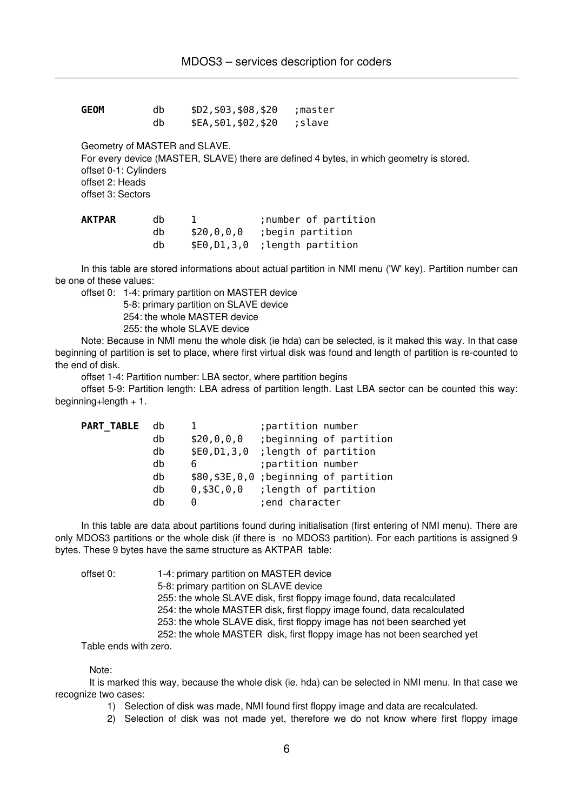| GEOM | db | \$D2, \$03, \$08, \$20 | :master |
|------|----|------------------------|---------|
|      | db | \$EA, \$01, \$02, \$20 | ;slave  |

Geometry of MASTER and SLAVE.

For every device (MASTER, SLAVE) there are defined 4 bytes, in which geometry is stored.

offset 0-1: Cylinders

offset 2: Heads offset 3: Sectors

| AKTPAR | dh | ;number of partition          |
|--------|----|-------------------------------|
|        | dh | $$20,0,0,0$ ; begin partition |
|        | dh | \$E0,D1,3,0; length partition |

In this table are stored informations about actual partition in NMI menu ('W' key). Partition number can be one of these values:

offset 0: 1-4: primary partition on MASTER device

5-8: primary partition on SLAVE device

254: the whole MASTER device

255: the whole SLAVE device

Note: Because in NMI menu the whole disk (ie hda) can be selected, is it maked this way. In that case beginning of partition is set to place, where first virtual disk was found and length of partition is re-counted to the end of disk.

offset 1-4: Partition number: LBA sector, where partition begins

offset 59: Partition length: LBA adress of partition length. Last LBA sector can be counted this way: beginning+length + 1.

| <b>PART TABLE</b> | db |                   | ; partition number    |                                          |
|-------------------|----|-------------------|-----------------------|------------------------------------------|
|                   | db | \$20, 0, 0, 0     |                       | ; beginning of partition                 |
|                   | db | \$E0, D1, 3, 0    | ; length of partition |                                          |
|                   | db | 6                 | ; partition number    |                                          |
|                   | db |                   |                       | \$80, \$3E, 0, 0; beginning of partition |
|                   | db | $0,$ \$3C, $0,$ 0 | ; length of partition |                                          |
|                   | db | 0                 | ; end character       |                                          |

In this table are data about partitions found during initialisation (first entering of NMI menu). There are only MDOS3 partitions or the whole disk (if there is no MDOS3 partition). For each partitions is assigned 9 bytes. These 9 bytes have the same structure as AKTPAR table:

offset 0: 1-4: primary partition on MASTER device 5-8: primary partition on SLAVE device 255: the whole SLAVE disk, first floppy image found, data recalculated 254: the whole MASTER disk, first floppy image found, data recalculated 253: the whole SLAVE disk, first floppy image has not been searched yet 252: the whole MASTER disk, first floppy image has not been searched yet

Table ends with zero.

Note:

It is marked this way, because the whole disk (ie. hda) can be selected in NMI menu. In that case we recognize two cases:

1) Selection of disk was made, NMI found first floppy image and data are recalculated.

2) Selection of disk was not made yet, therefore we do not know where first floppy image